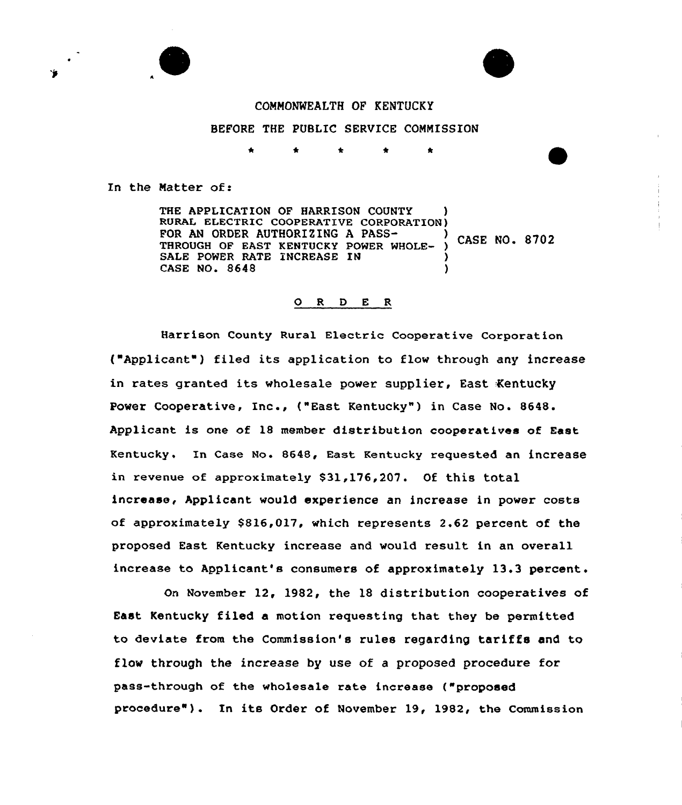



### CONMONNEALTH OF KENTUCKY

BEFORE THE PUBLIC SERVICE CONNISSION

4'

In the Matter of:

THE APPLICATION OF HARRISON COUNTY RURAL ELECTRIC COOPERATIVE CORPORATION) FOR AN ORDER AUTHORIZING A PASS $\rightarrow$  CASE NO. 8702 THROUGH OF EAST KENTUCKY POWER WHOLE-SALE POWER RATE INCREASE IN CASE NO. 8648 )

#### O R D E R

Harrison County Rural Electric Cooperative Corporation ("Applicant" ) filed its application to flow through any increase in rates granted its wholesale power supplier, East Kentucky Power Cooperative, Inc., ("East Kentucky") in Case No. 8648. Applicant is one of 18 member distribution cooperatives of East Kentucky. In Case No. 8648, East Kentucky requested an increase in revenue of approximately 831,176,207. Of this total increase, Applicant would experience an increase in power costs of approximately \$816,017, which represents 2.62 percent of the proposed East Kentucky increase and would result in an overall increase to Applicant's consumers of approximately 13.3 percent.

On November 12, 1982, the 18 distribution cooperatives of East Kentucky filed a motion requesting that they be permitted to deviate from the Commission's rules regarding tariffs and to flow through the increase by use of a proposed procedure for pass-through of the wholesale rate increase ("proposed procedure" ) . In its Order of November 19, 1982, the Commission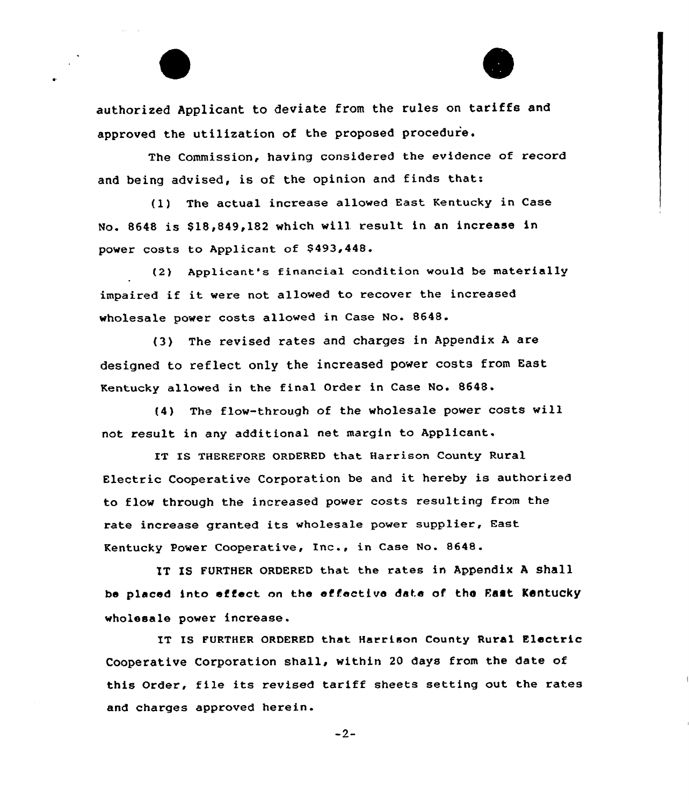authorized Applicant to deviate from the rules on tariffs and approved the utilization of the proposed procedure.

The Commission, having considered the evidence of record and being advised, is of the opinion and finds that:

(1) The actual increase allowed East Kentucky in Case No. 8648 is \$18,849,182 which will result in an increase in power costs to Applicant of \$493,448.

(2) Applicant's financial condition would be materially impaired if it were not allowed to recover the increased wholesale power costs allowed in Case No. 8648.

(3) The revised rates and charges in Appendix <sup>A</sup> are designed to reflect only the increased power costs from East Kentucky allowed in the final Order in Case No. 8648.

(4) The flow-through of the wholesale power costs will not result in any additional net margin to Applicant.

IT IS THEREFORE ORDERED that Harrison County Rural Electric Cooperative Corporation be and it hereby is authorized to flow through the increased power costs resulting from the rate increase granted its who1esale power supplier, East Kentucky Power Cooperative, Inc., in Case No. 8648.

IT IS FURTHER ORDERED that the rates in Appendix A shall be placed into effect on the effective date of the East Kentucky wholesale power increase.

IT IS FURTHER ORDERED that Harrison County Rural Electric Cooperative Corporation shall, within 20 days from the date of this Order, file its revised tariff sheets setting out the rates and charges approved herein.

 $-2-$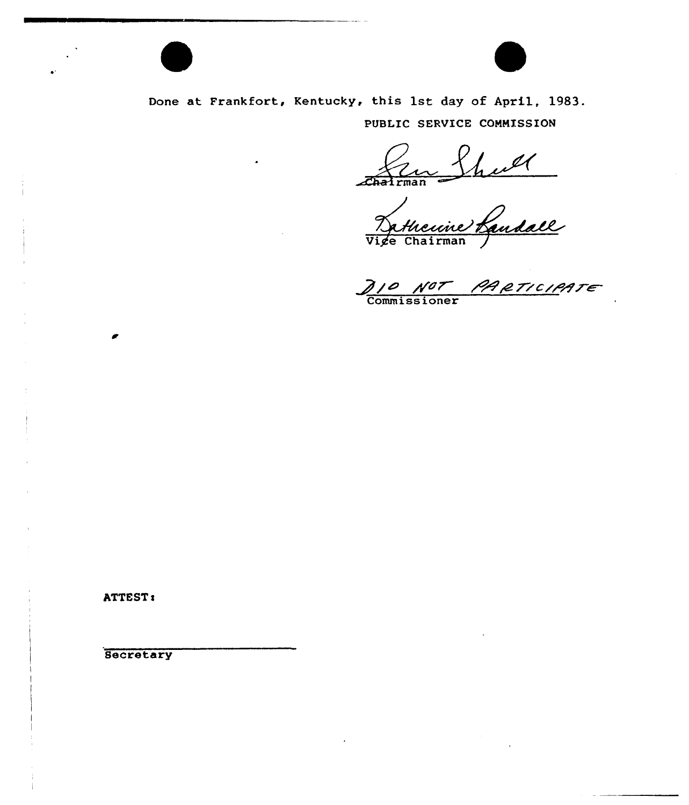

Done at Frankfort, Kentucky, this 1st day of April, 1983. PUBLIC SERVICE COMMISSION

Charleman Sheel<br>Victo Chairman Judall

PARTICIPATE Commiss ioner

ATTEST:

**Secretary**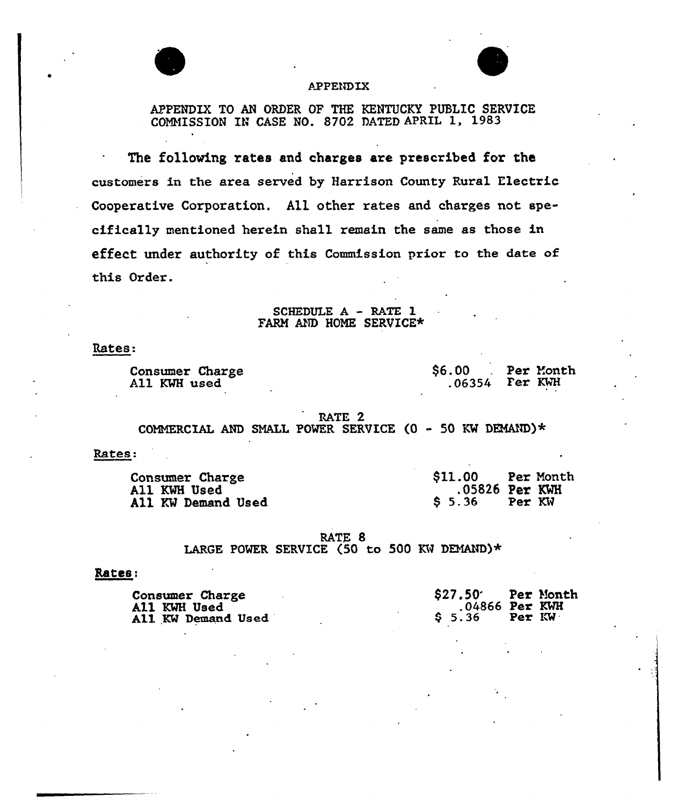

### **APPENDIX**

TO AN ORDER OF THE KENTUCKY PUBLIC SERVICE COMMISSION IN CASE NO. 8702 DATED APRIL 1, 1983

The folloving rates and charges are prescribed for the customers in the area served by Harrison County Rural Electric Cooperative Corporation. All other rates and charges not specifically mentioned herein shall remain the same as those in effect under authority of this Commission prior to the date of this Order.

> SCHEDULE <sup>A</sup> - RATE 1 FARM AND HOME SERVICE\*

Rates.

Consumer Charge A11 KWH used

\$6.00 Per Month p6354 Fer KRH

RATE 2

COMMERCIAL AND SMALL POWER SERVICE  $(0 - 50$  KW DEMAND)\*

Rates:

| Consumer Charge    | \$11.00 | Per Month        |
|--------------------|---------|------------------|
| All KWH Used       |         | $.05826$ Per KWH |
| All KW Demand Used | S 5.36  | Per KW           |

RATE 8 LARGE POWER SERVICE (50 to 500 KW DEMAND)\*

# Rates:

| <b>Consumer Charge</b>    | \$27.50 Per Month |        |  |
|---------------------------|-------------------|--------|--|
| <b>All KWH Used</b>       | $.04866$ Per KWH  |        |  |
| <b>All KW Demand Used</b> | S 5.36            | Per KW |  |